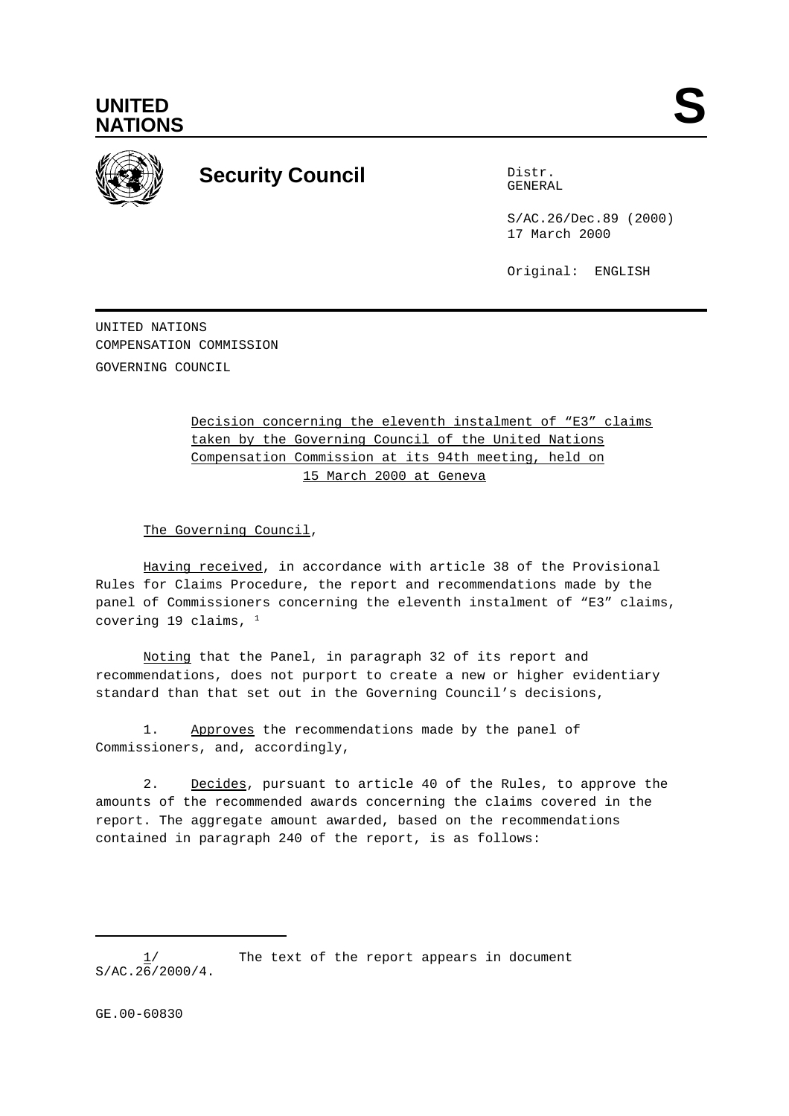



## **Security Council** Distribution Distribution

GENERAL

S/AC.26/Dec.89 (2000) 17 March 2000

Original: ENGLISH

UNITED NATIONS COMPENSATION COMMISSION GOVERNING COUNCIL

> Decision concerning the eleventh instalment of "E3" claims taken by the Governing Council of the United Nations Compensation Commission at its 94th meeting, held on 15 March 2000 at Geneva

The Governing Council,

Having received, in accordance with article 38 of the Provisional Rules for Claims Procedure, the report and recommendations made by the panel of Commissioners concerning the eleventh instalment of "E3" claims, covering 19 claims,  $1$ 

Noting that the Panel, in paragraph 32 of its report and recommendations, does not purport to create a new or higher evidentiary standard than that set out in the Governing Council's decisions,

1. Approves the recommendations made by the panel of Commissioners, and, accordingly,

2. Decides, pursuant to article 40 of the Rules, to approve the amounts of the recommended awards concerning the claims covered in the report. The aggregate amount awarded, based on the recommendations contained in paragraph 240 of the report, is as follows:

The text of the report appears in document  $S/AC.26/2000/4.$